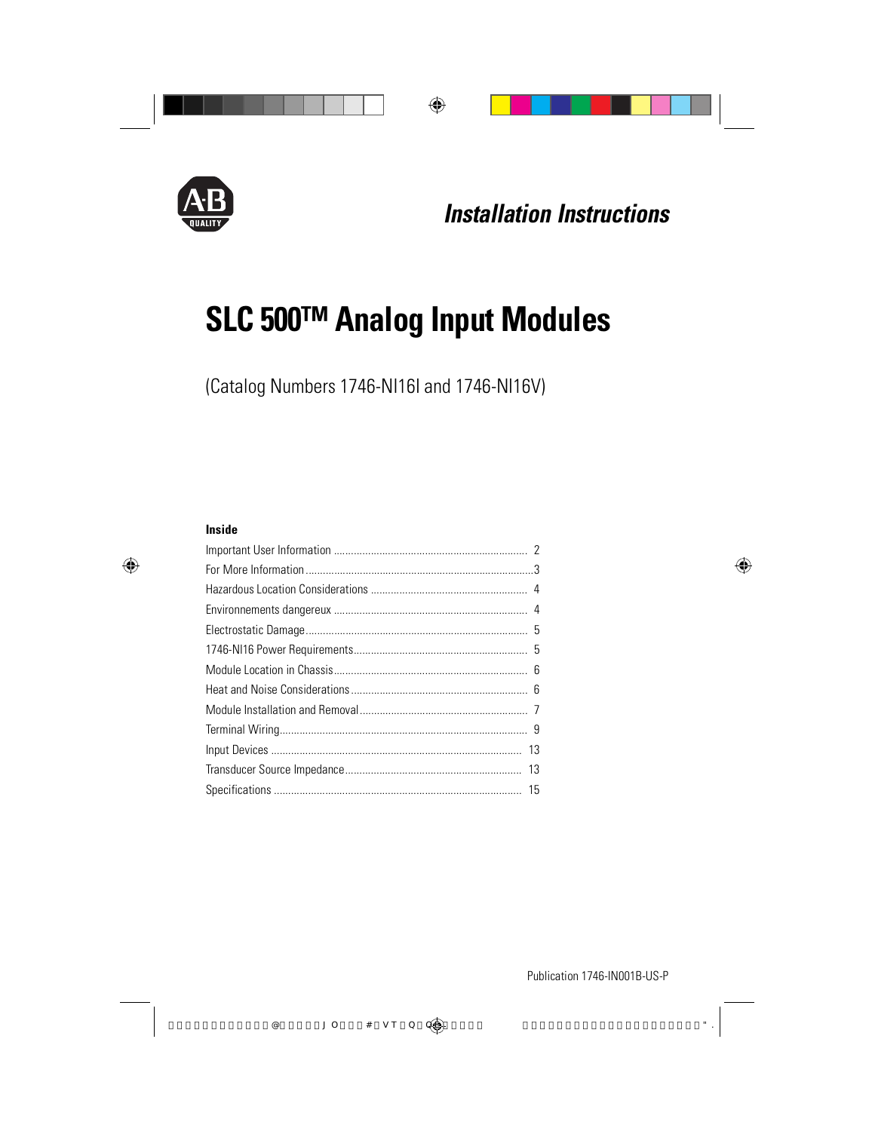

# **SLC 500™ Analog Input Modules**

(Catalog Numbers 1746-NI16I and 1746-NI16V)

#### **Inside**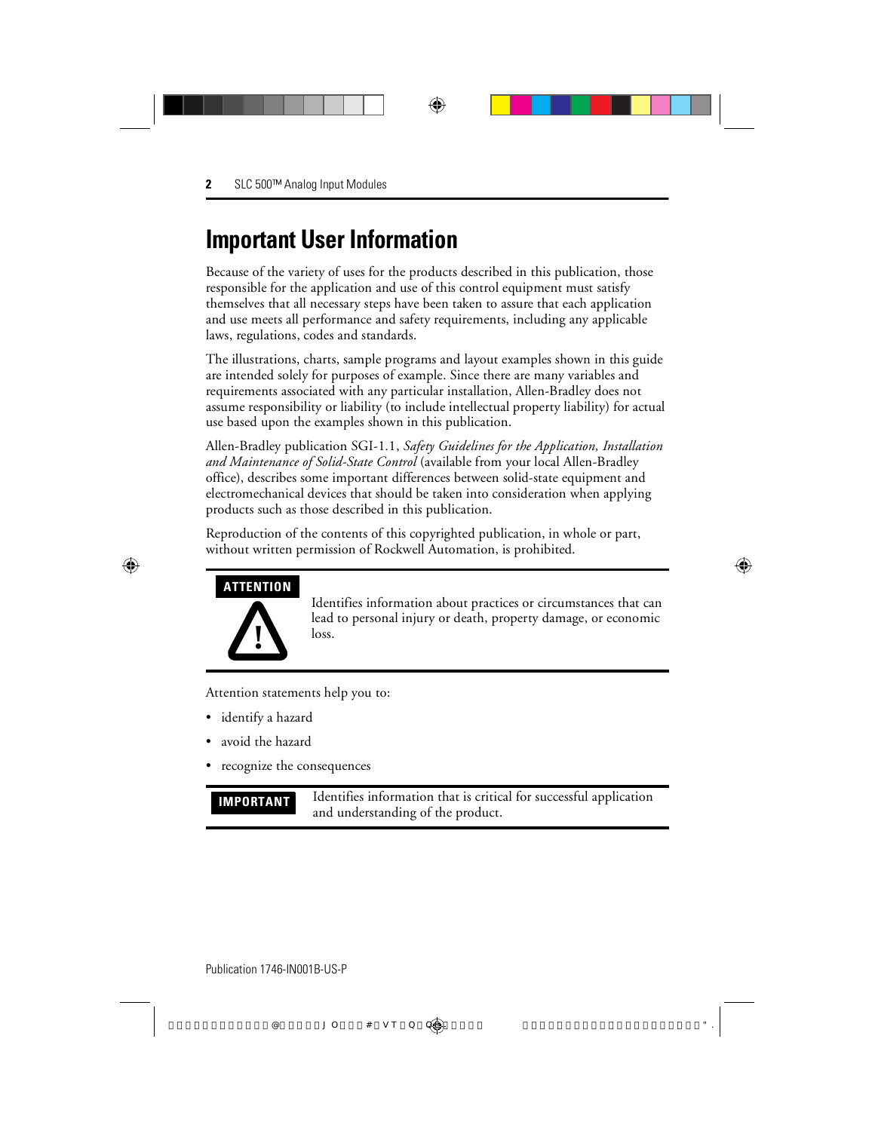## **Important User Information**

Because of the variety of uses for the products described in this publication, those responsible for the application and use of this control equipment must satisfy themselves that all necessary steps have been taken to assure that each application and use meets all performance and safety requirements, including any applicable laws, regulations, codes and standards.

The illustrations, charts, sample programs and layout examples shown in this guide are intended solely for purposes of example. Since there are many variables and requirements associated with any particular installation, Allen-Bradley does not assume responsibility or liability (to include intellectual property liability) for actual use based upon the examples shown in this publication.

Allen-Bradley publication SGI-1.1, *Safety Guidelines for the Application, Installation and Maintenance of Solid-State Control* (available from your local Allen-Bradley office), describes some important differences between solid-state equipment and electromechanical devices that should be taken into consideration when applying products such as those described in this publication.

Reproduction of the contents of this copyrighted publication, in whole or part, without written permission of Rockwell Automation, is prohibited.

#### **ATTENTION**



Identifies information about practices or circumstances that can lead to personal injury or death, property damage, or economic loss.

Attention statements help you to:

- identify a hazard
- avoid the hazard
- recognize the consequences

**IMPORTANT** Identifies information that is critical for successful application and understanding of the product.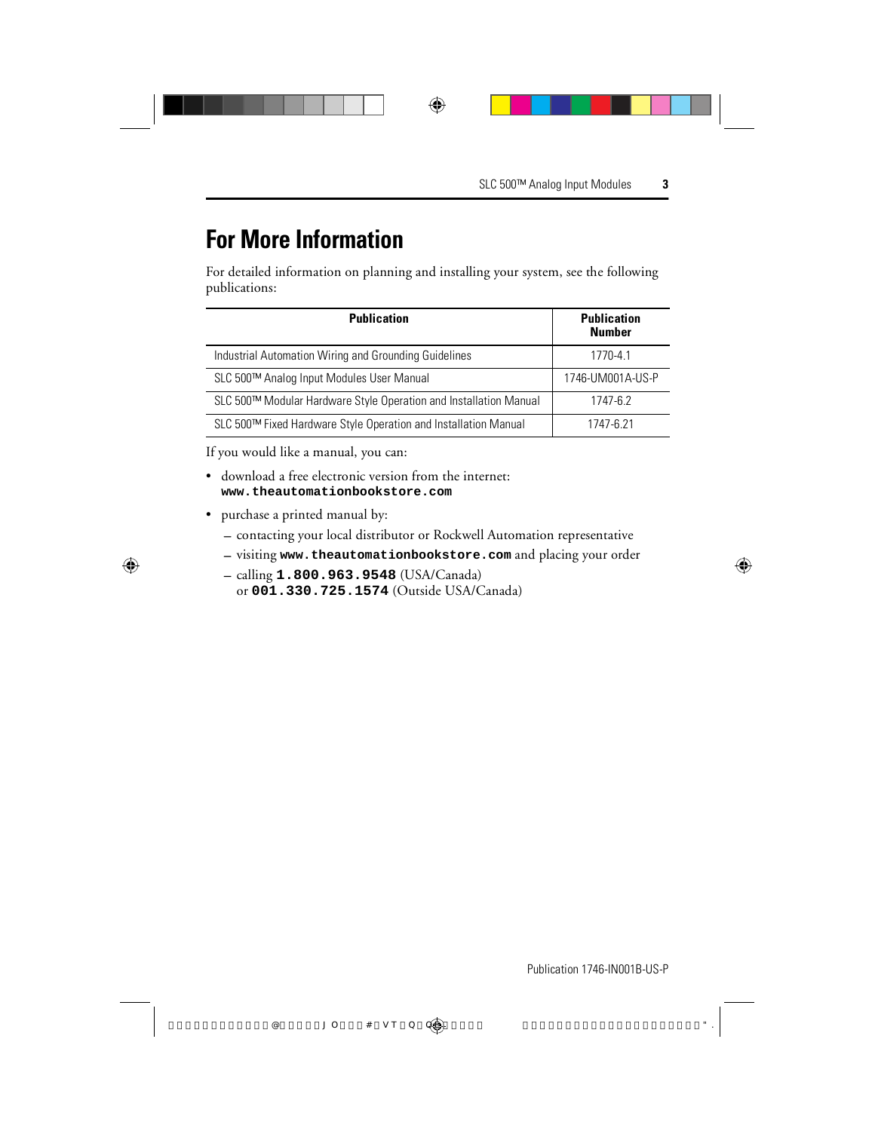## **For More Information**

For detailed information on planning and installing your system, see the following publications:

| <b>Publication</b>                                                | <b>Publication</b><br><b>Number</b> |
|-------------------------------------------------------------------|-------------------------------------|
| Industrial Automation Wiring and Grounding Guidelines             | 1770-4.1                            |
| SLC 500™ Analog Input Modules User Manual                         | 1746-UM001A-US-P                    |
| SLC 500™ Modular Hardware Style Operation and Installation Manual | 1747-6.2                            |
| SLC 500™ Fixed Hardware Style Operation and Installation Manual   | 1747-6 21                           |

If you would like a manual, you can:

- download a free electronic version from the internet: **www.theautomationbookstore.com**
- purchase a printed manual by:
	- contacting your local distributor or Rockwell Automation representative
	- visiting **www.theautomationbookstore.com** and placing your order
	- calling **1.800.963.9548** (USA/Canada) or **001.330.725.1574** (Outside USA/Canada)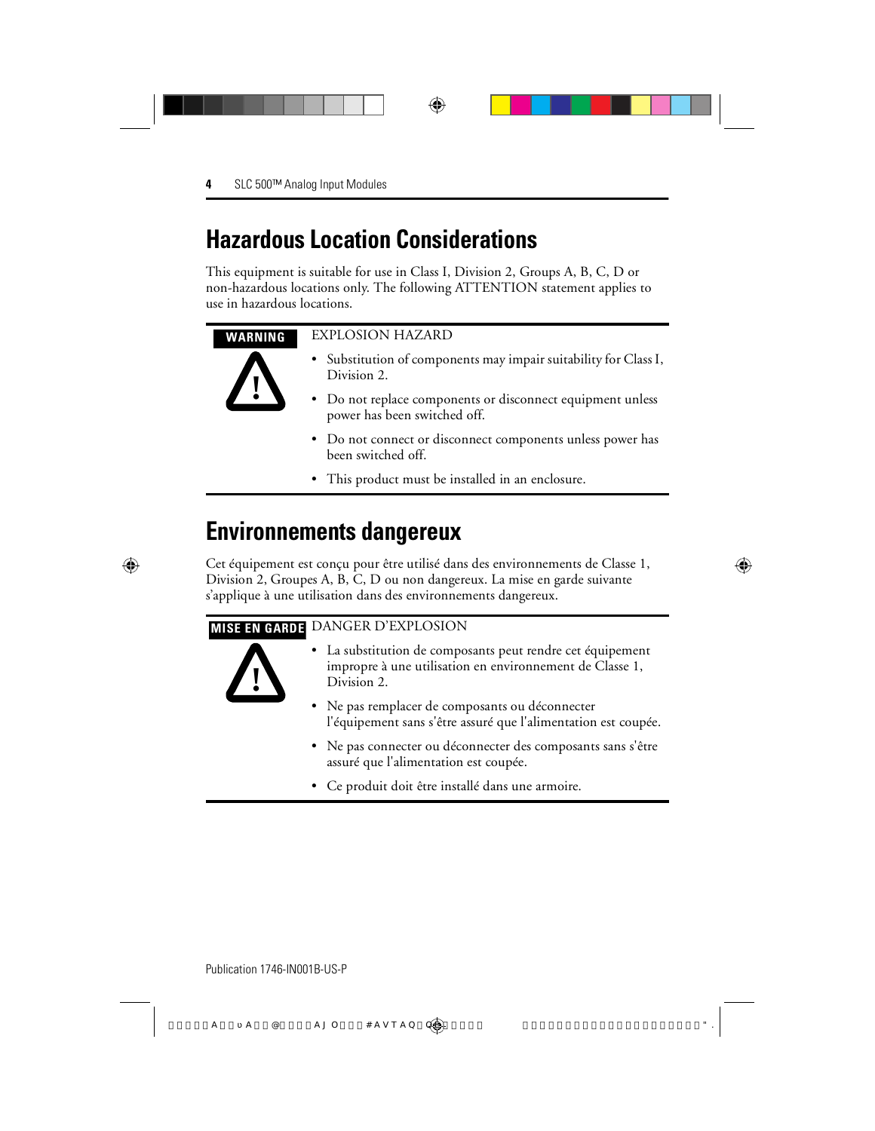## **Hazardous Location Considerations**

This equipment is suitable for use in Class I, Division 2, Groups A, B, C, D or non-hazardous locations only. The following ATTENTION statement applies to use in hazardous locations.

#### **WARNING** EXPLOSION HAZARD

**!**

- Substitution of components may impair suitability for Class I, Division 2.
- Do not replace components or disconnect equipment unless power has been switched off.
- Do not connect or disconnect components unless power has been switched off.
- This product must be installed in an enclosure.

## **Environnements dangereux**

Cet équipement est conçu pour être utilisé dans des environnements de Classe 1, Division 2, Groupes A, B, C, D ou non dangereux. La mise en garde suivante s'applique à une utilisation dans des environnements dangereux.

#### **MISE EN GARDE** DANGER D'EXPLOSION



- La substitution de composants peut rendre cet équipement impropre à une utilisation en environnement de Classe 1, Division 2.
- Ne pas remplacer de composants ou déconnecter l'équipement sans s'être assuré que l'alimentation est coupée.
- Ne pas connecter ou déconnecter des composants sans s'être assuré que l'alimentation est coupée.
- Ce produit doit être installé dans une armoire.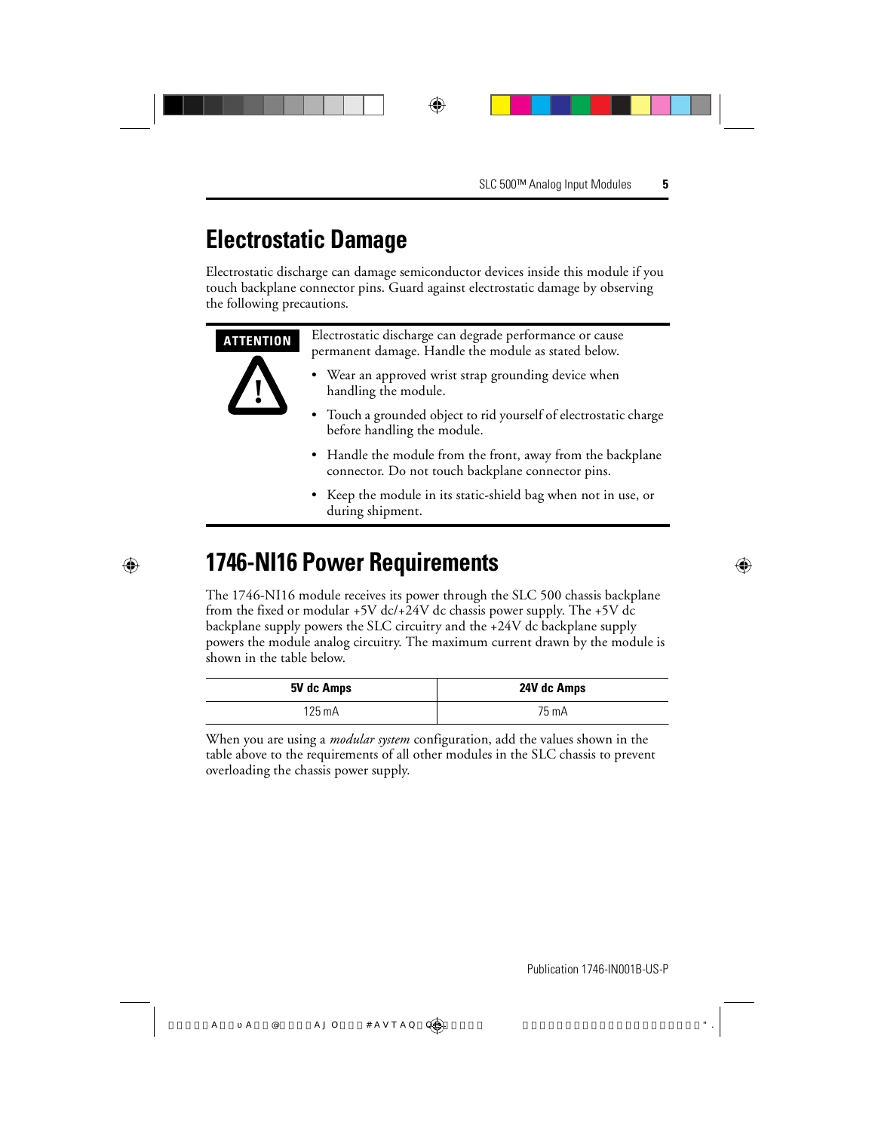## **Electrostatic Damage**

Electrostatic discharge can damage semiconductor devices inside this module if you touch backplane connector pins. Guard against electrostatic damage by observing the following precautions.

| <b>ATTENTION</b> | Electrostatic discharge can degrade performance or cause<br>permanent damage. Handle the module as stated below. |  |  |
|------------------|------------------------------------------------------------------------------------------------------------------|--|--|
|                  | • Wear an approved wrist strap grounding device when<br>handling the module.                                     |  |  |
|                  | • Touch a grounded object to rid yourself of electrostatic charge<br>before handling the module.                 |  |  |
|                  | • Handle the module from the front, away from the backplane<br>connector. Do not touch backplane connector pins. |  |  |
|                  | • Keep the module in its static-shield bag when not in use, or<br>during shipment.                               |  |  |

## **1746-NI16 Power Requirements**

The 1746-NI16 module receives its power through the SLC 500 chassis backplane from the fixed or modular +5V dc/+24V dc chassis power supply. The +5V dc backplane supply powers the SLC circuitry and the +24V dc backplane supply powers the module analog circuitry. The maximum current drawn by the module is shown in the table below.

| 5V dc Amps | 24V dc Amps |
|------------|-------------|
| 125 mA     | 75 mA       |

When you are using a *modular system* configuration, add the values shown in the table above to the requirements of all other modules in the SLC chassis to prevent overloading the chassis power supply.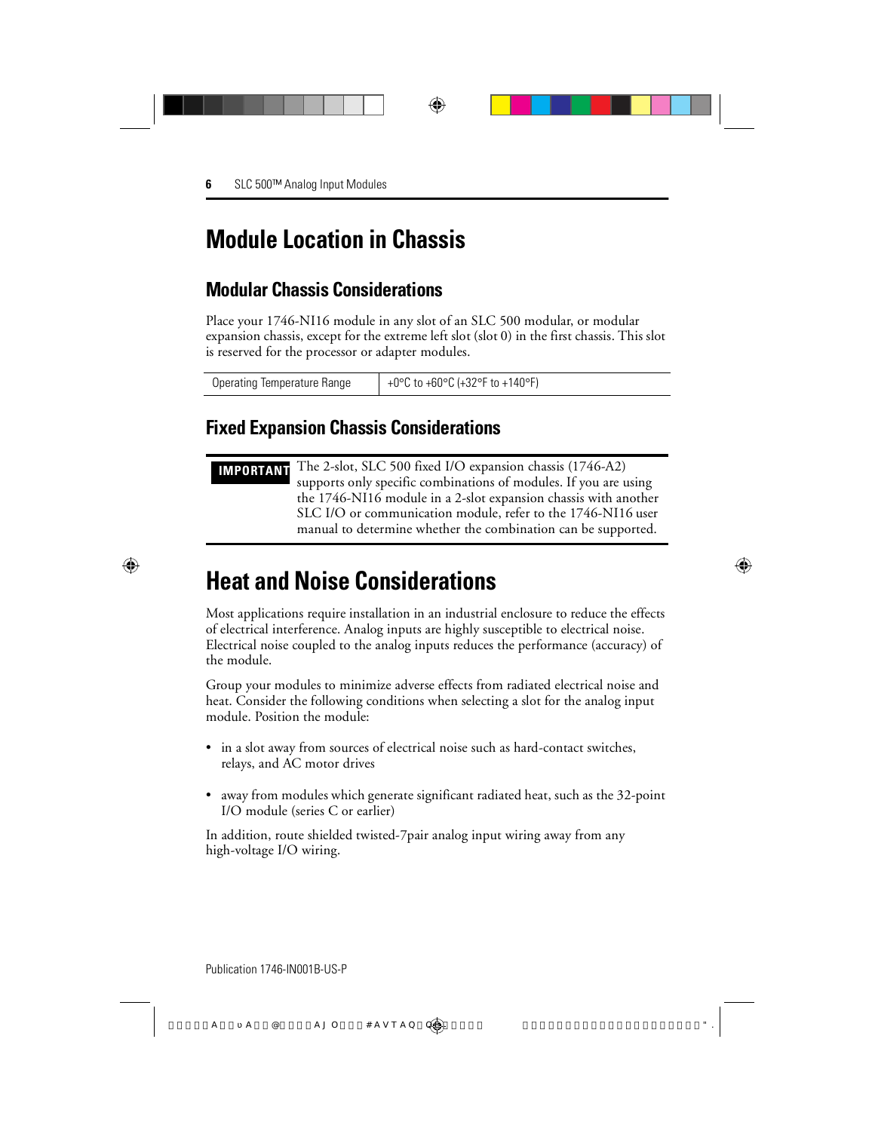## **Module Location in Chassis**

## **Modular Chassis Considerations**

Place your 1746-NI16 module in any slot of an SLC 500 modular, or modular expansion chassis, except for the extreme left slot (slot 0) in the first chassis. This slot is reserved for the processor or adapter modules.

| Operating Temperature Range | +0°C to +60°C (+32°F to +140°F) |
|-----------------------------|---------------------------------|
|-----------------------------|---------------------------------|

#### **Fixed Expansion Chassis Considerations**

**IMPORTANT** The 2-slot, SLC 500 fixed I/O expansion chassis (1746-A2) supports only specific combinations of modules. If you are using the 1746-NI16 module in a 2-slot expansion chassis with another SLC I/O or communication module, refer to the 1746-NI16 user manual to determine whether the combination can be supported.

## **Heat and Noise Considerations**

Most applications require installation in an industrial enclosure to reduce the effects of electrical interference. Analog inputs are highly susceptible to electrical noise. Electrical noise coupled to the analog inputs reduces the performance (accuracy) of the module.

Group your modules to minimize adverse effects from radiated electrical noise and heat. Consider the following conditions when selecting a slot for the analog input module. Position the module:

- in a slot away from sources of electrical noise such as hard-contact switches, relays, and AC motor drives
- away from modules which generate significant radiated heat, such as the 32-point I/O module (series C or earlier)

In addition, route shielded twisted-7pair analog input wiring away from any high-voltage I/O wiring.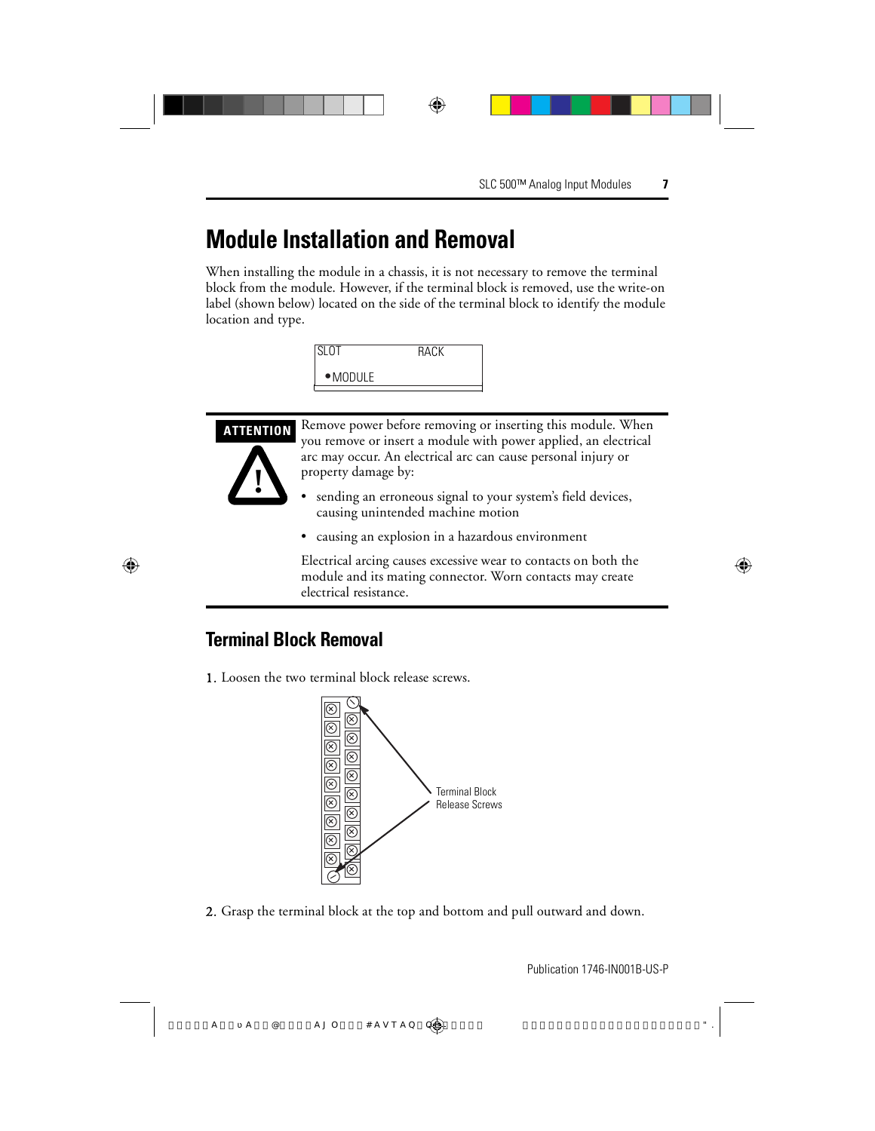## **Module Installation and Removal**

When installing the module in a chassis, it is not necessary to remove the terminal block from the module. However, if the terminal block is removed, use the write-on label (shown below) located on the side of the terminal block to identify the module location and type.

| <b>SLOT</b>      | RACK |  |
|------------------|------|--|
| $\bullet$ MODULE |      |  |





**ATTENTION** Remove power before removing or inserting this module. When you remove or insert a module with power applied, an electrical arc may occur. An electrical arc can cause personal injury or property damage by:

- sending an erroneous signal to your system's field devices, causing unintended machine motion
- causing an explosion in a hazardous environment

Electrical arcing causes excessive wear to contacts on both the module and its mating connector. Worn contacts may create electrical resistance.

## **Terminal Block Removal**

1. Loosen the two terminal block release screws.



2. Grasp the terminal block at the top and bottom and pull outward and down.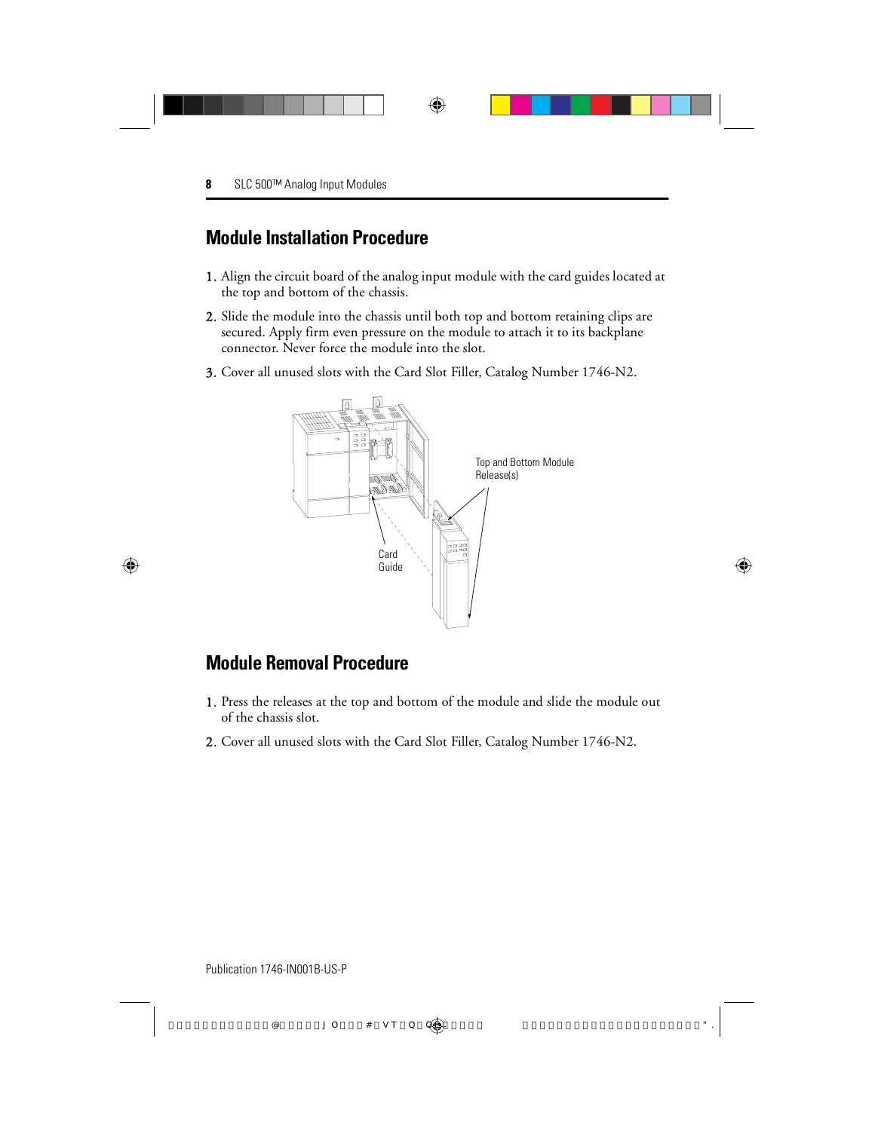### **Module Installation Procedure**

- 1. Align the circuit board of the analog input module with the card guides located at the top and bottom of the chassis.
- 2. Slide the module into the chassis until both top and bottom retaining clips are secured. Apply firm even pressure on the module to attach it to its backplane connector. Never force the module into the slot.
- 3. Cover all unused slots with the Card Slot Filler, Catalog Number 1746-N2.



### **Module Removal Procedure**

- 1. Press the releases at the top and bottom of the module and slide the module out of the chassis slot.
- 2. Cover all unused slots with the Card Slot Filler, Catalog Number 1746-N2.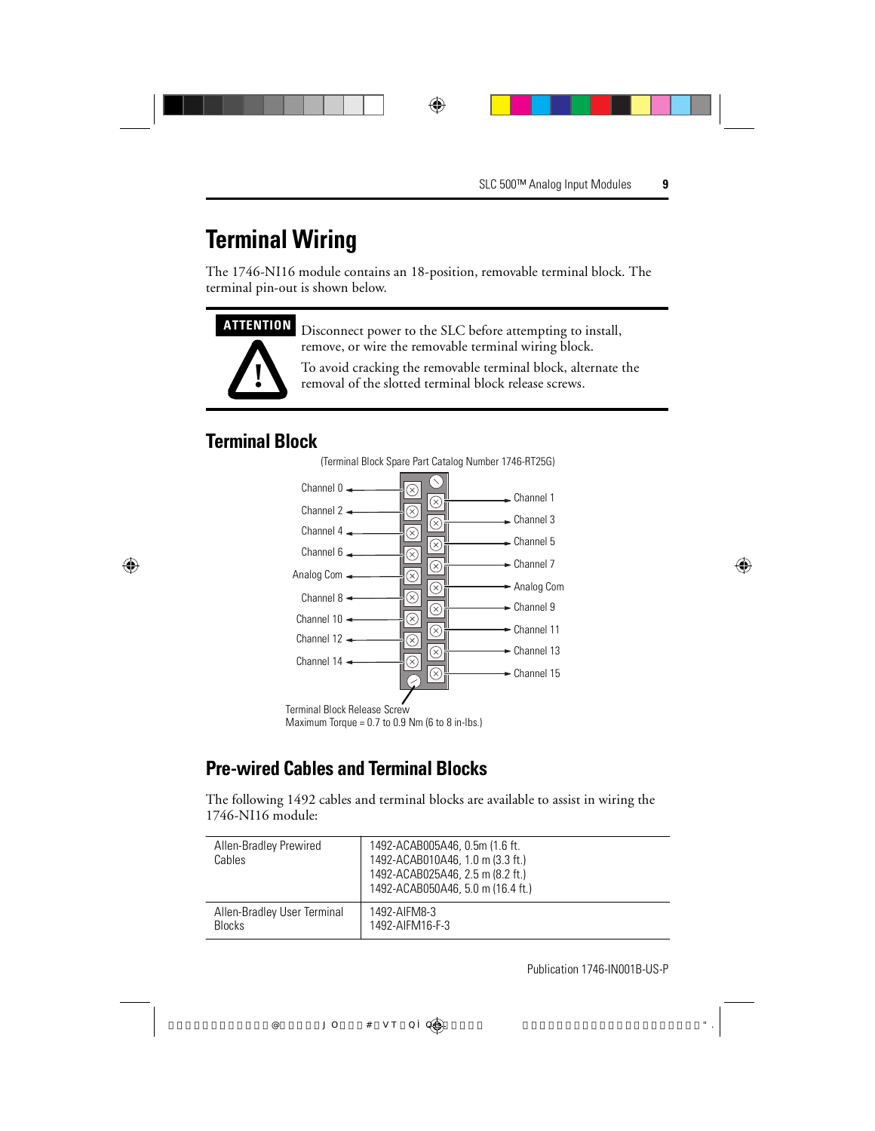## **Terminal Wiring**

The 1746-NI16 module contains an 18-position, removable terminal block. The terminal pin-out is shown below.



**ATTENTION** Disconnect power to the SLC before attempting to install, remove, or wire the removable terminal wiring block.

> To avoid cracking the removable terminal block, alternate the removal of the slotted terminal block release screws.

### **Terminal Block**



Maximum Torque =  $0.7$  to  $0.9$  Nm (6 to 8 in-lbs.)

## **Pre-wired Cables and Terminal Blocks**

The following 1492 cables and terminal blocks are available to assist in wiring the 1746-NI16 module:

| Allen-Bradley Prewired<br>Cables | 1492-ACAB005A46, 0.5m (1.6 ft.<br>1492-ACAB010A46, 1.0 m (3.3 ft.)<br>1492-ACAB025A46, 2.5 m (8.2 ft.)<br>1492-ACAB050A46, 5.0 m (16.4 ft.) |
|----------------------------------|---------------------------------------------------------------------------------------------------------------------------------------------|
| Allen-Bradley User Terminal      | 1492-AIFM8-3                                                                                                                                |
| <b>Blocks</b>                    | 1492-AIFM16-F-3                                                                                                                             |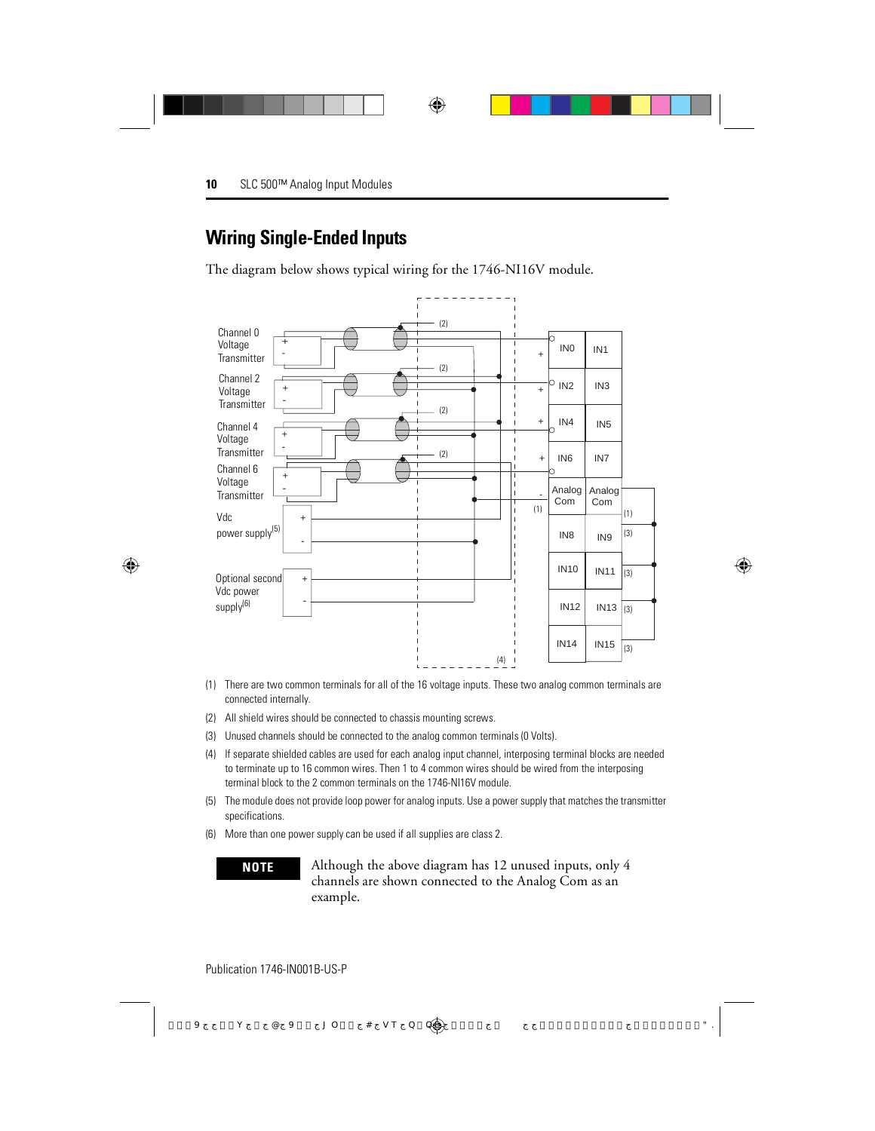### **Wiring Single-Ended Inputs**

The diagram below shows typical wiring for the 1746-NI16V module.



- (1) There are two common terminals for all of the 16 voltage inputs. These two analog common terminals are connected internally.
- (2) All shield wires should be connected to chassis mounting screws.
- (3) Unused channels should be connected to the analog common terminals (0 Volts).
- (4) If separate shielded cables are used for each analog input channel, interposing terminal blocks are needed to terminate up to 16 common wires. Then 1 to 4 common wires should be wired from the interposing terminal block to the 2 common terminals on the 1746-NI16V module.
- (5) The module does not provide loop power for analog inputs. Use a power supply that matches the transmitter specifications.
- (6) More than one power supply can be used if all supplies are class 2.

**NOTE** Although the above diagram has 12 unused inputs, only 4 channels are shown connected to the Analog Com as an example.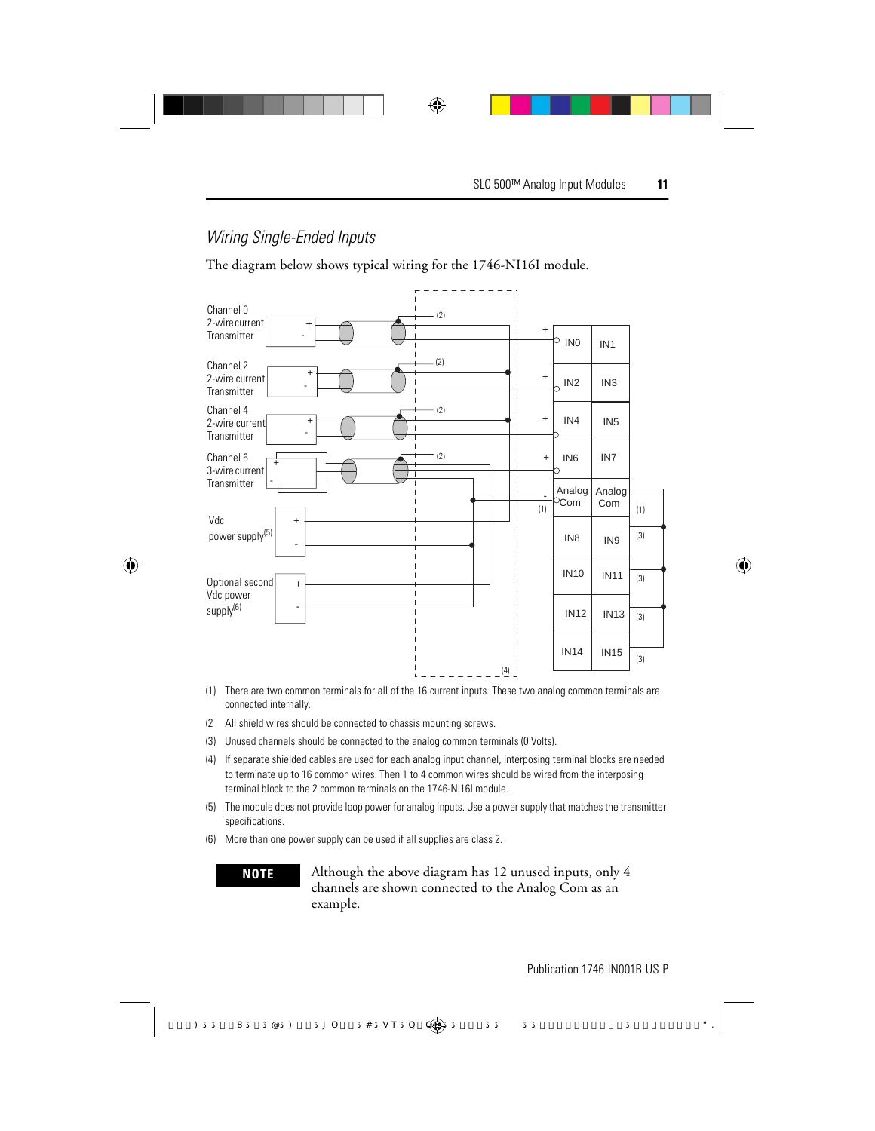#### Wiring Single-Ended Inputs

The diagram below shows typical wiring for the 1746-NI16I module.



- (1) There are two common terminals for all of the 16 current inputs. These two analog common terminals are connected internally.
- (2 All shield wires should be connected to chassis mounting screws.
- (3) Unused channels should be connected to the analog common terminals (0 Volts).
- (4) If separate shielded cables are used for each analog input channel, interposing terminal blocks are needed to terminate up to 16 common wires. Then 1 to 4 common wires should be wired from the interposing terminal block to the 2 common terminals on the 1746-NI16I module.
- (5) The module does not provide loop power for analog inputs. Use a power supply that matches the transmitter specifications.
- (6) More than one power supply can be used if all supplies are class 2.

**NOTE** Although the above diagram has 12 unused inputs, only 4 channels are shown connected to the Analog Com as an example.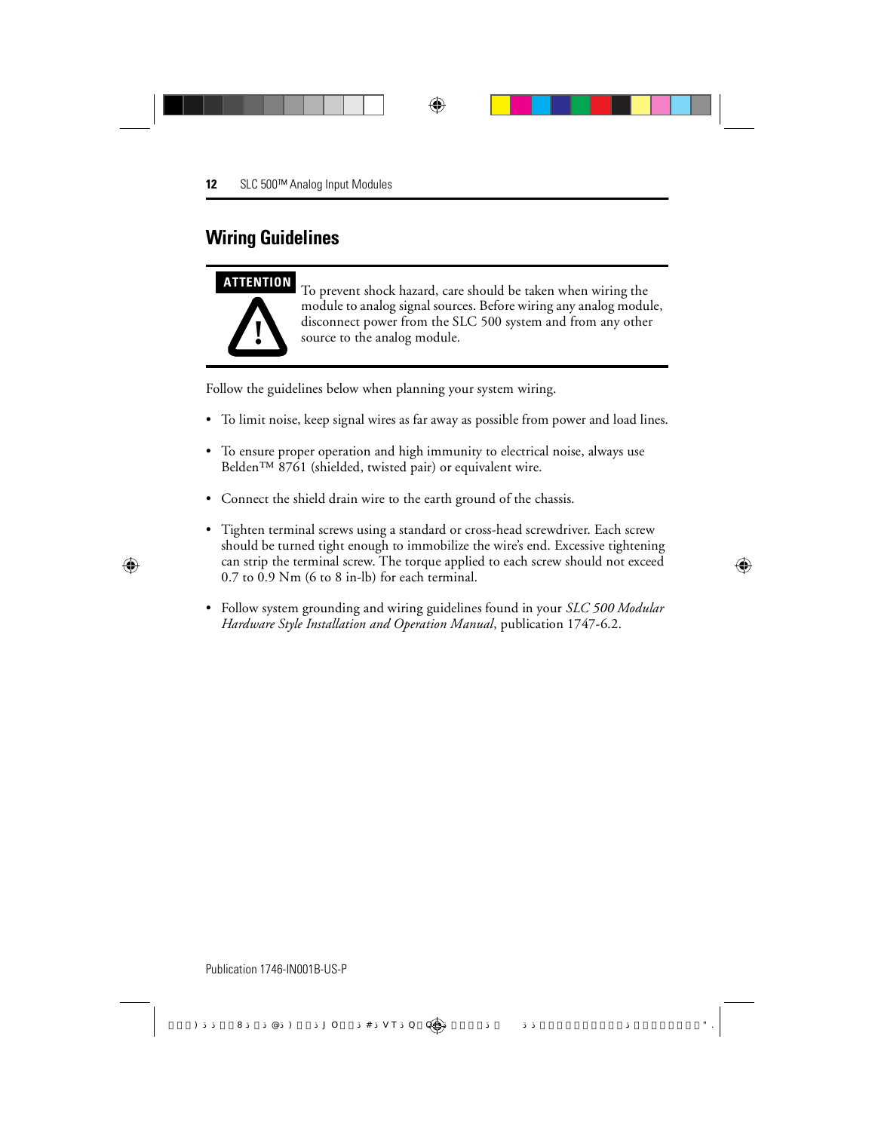## **Wiring Guidelines**



**ATTENTION** To prevent shock hazard, care should be taken when wiring the module to analog signal sources. Before wiring any analog module, disconnect power from the SLC 500 system and from any other source to the analog module.

Follow the guidelines below when planning your system wiring.

- To limit noise, keep signal wires as far away as possible from power and load lines.
- To ensure proper operation and high immunity to electrical noise, always use Belden™ 8761 (shielded, twisted pair) or equivalent wire.
- Connect the shield drain wire to the earth ground of the chassis.
- Tighten terminal screws using a standard or cross-head screwdriver. Each screw should be turned tight enough to immobilize the wire's end. Excessive tightening can strip the terminal screw. The torque applied to each screw should not exceed 0.7 to 0.9 Nm (6 to 8 in-lb) for each terminal.
- Follow system grounding and wiring guidelines found in your *SLC 500 Modular Hardware Style Installation and Operation Manual*, publication 1747-6.2.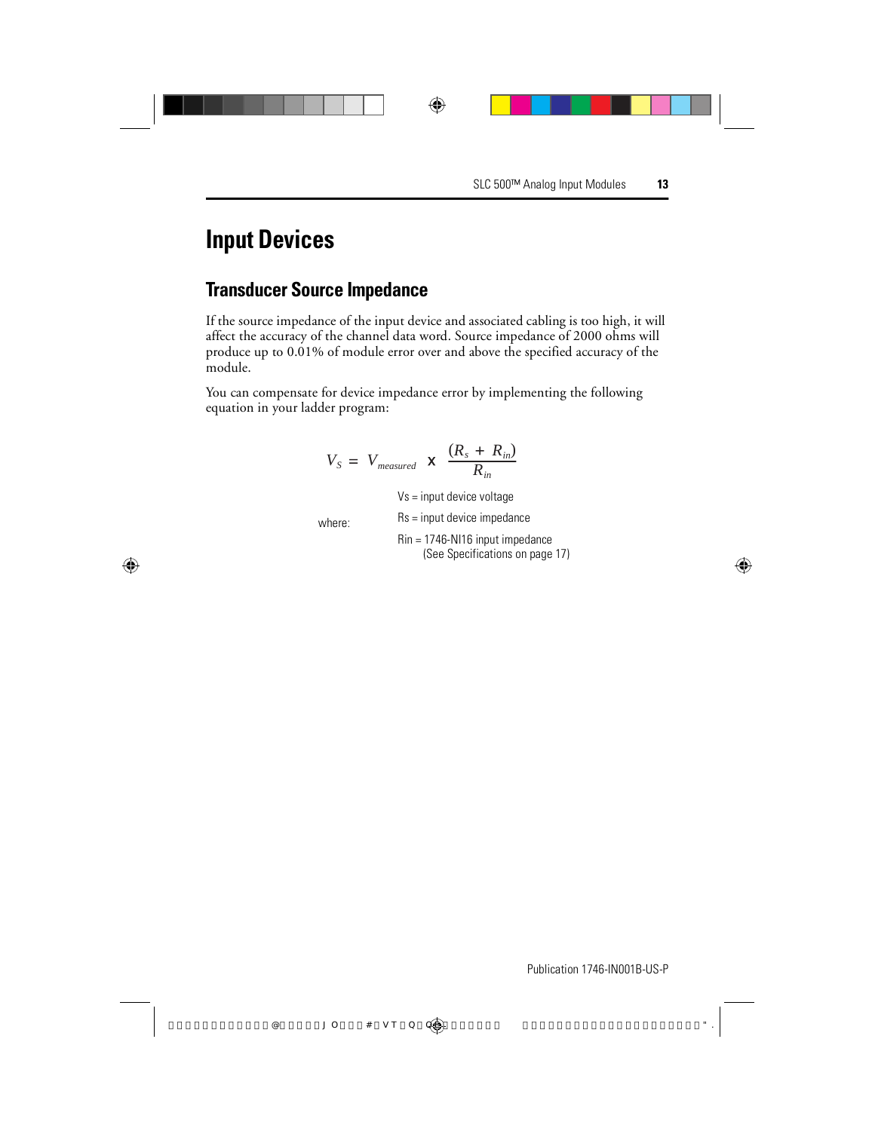## **Input Devices**

#### **Transducer Source Impedance**

If the source impedance of the input device and associated cabling is too high, it will affect the accuracy of the channel data word. Source impedance of 2000 ohms will produce up to 0.01% of module error over and above the specified accuracy of the module.

You can compensate for device impedance error by implementing the following equation in your ladder program:

$$
V_S = V_{measured} \times \frac{(R_s + R_{in})}{R_{in}}
$$
  
\n
$$
V_S = input device voltage
$$
  
\nwhere:  
\n
$$
Rs = input device impedance
$$
  
\n
$$
R_{in} = 1746-N116 input impedance
$$
  
\n(See Specifications on page 17)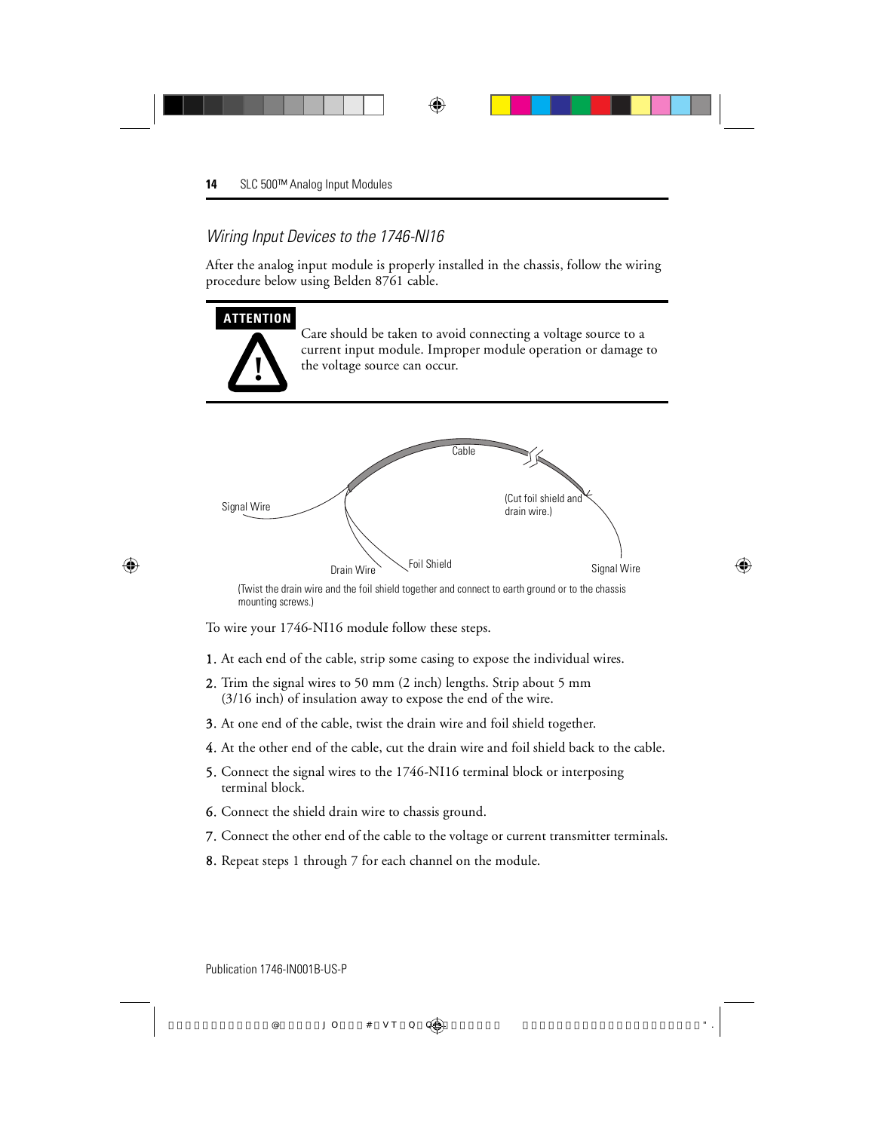#### Wiring Input Devices to the 1746-NI16

After the analog input module is properly installed in the chassis, follow the wiring procedure below using Belden 8761 cable.



mounting screws.)

To wire your 1746-NI16 module follow these steps.

- 1. At each end of the cable, strip some casing to expose the individual wires.
- 2. Trim the signal wires to 50 mm (2 inch) lengths. Strip about 5 mm (3/16 inch) of insulation away to expose the end of the wire.
- 3. At one end of the cable, twist the drain wire and foil shield together.
- 4. At the other end of the cable, cut the drain wire and foil shield back to the cable.
- 5. Connect the signal wires to the 1746-NI16 terminal block or interposing terminal block.
- 6. Connect the shield drain wire to chassis ground.
- 7. Connect the other end of the cable to the voltage or current transmitter terminals.
- 8. Repeat steps 1 through 7 for each channel on the module.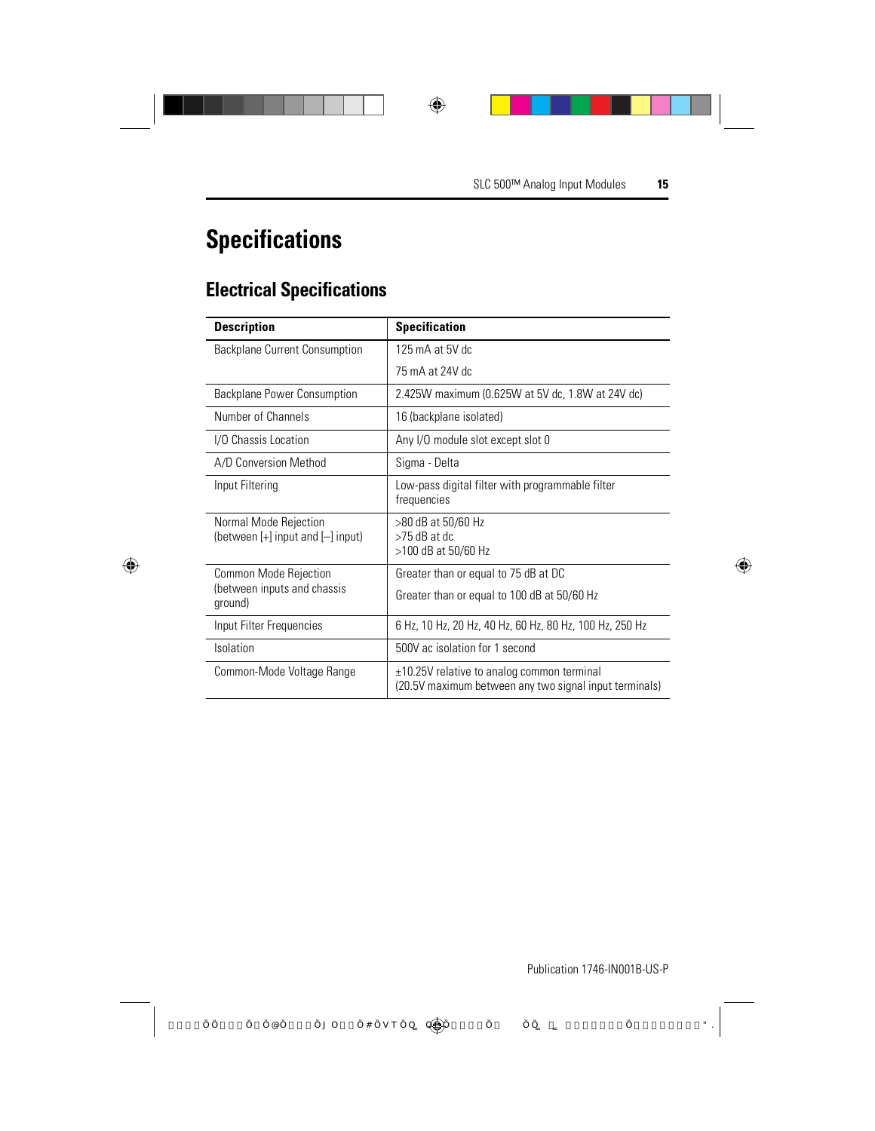## **Specifications**

## **Electrical Specifications**

| <b>Description</b>                                             | <b>Specification</b>                                                                                   |
|----------------------------------------------------------------|--------------------------------------------------------------------------------------------------------|
| Backplane Current Consumption                                  | 125 mA at 5V dc                                                                                        |
|                                                                | 75 mA at 24V dc                                                                                        |
| Backplane Power Consumption                                    | 2.425W maximum (0.625W at 5V dc, 1.8W at 24V dc)                                                       |
| Number of Channels                                             | 16 (backplane isolated)                                                                                |
| I/O Chassis Location                                           | Any I/O module slot except slot 0                                                                      |
| A/D Conversion Method                                          | Sigma - Delta                                                                                          |
| Input Filtering                                                | Low-pass digital filter with programmable filter<br>frequencies                                        |
| Normal Mode Rejection<br>(between $[+]$ input and $[-]$ input) | >80 dB at 50/60 Hz<br>$>75$ dB at dc<br>>100 dB at 50/60 Hz                                            |
| <b>Common Mode Rejection</b>                                   | Greater than or equal to 75 dB at DC                                                                   |
| (between inputs and chassis<br>ground)                         | Greater than or equal to 100 dB at 50/60 Hz                                                            |
| Input Filter Frequencies                                       | 6 Hz, 10 Hz, 20 Hz, 40 Hz, 60 Hz, 80 Hz, 100 Hz, 250 Hz                                                |
| <b>Isolation</b>                                               | 500V ac isolation for 1 second                                                                         |
| Common-Mode Voltage Range                                      | $±10.25V$ relative to analog common terminal<br>(20.5V maximum between any two signal input terminals) |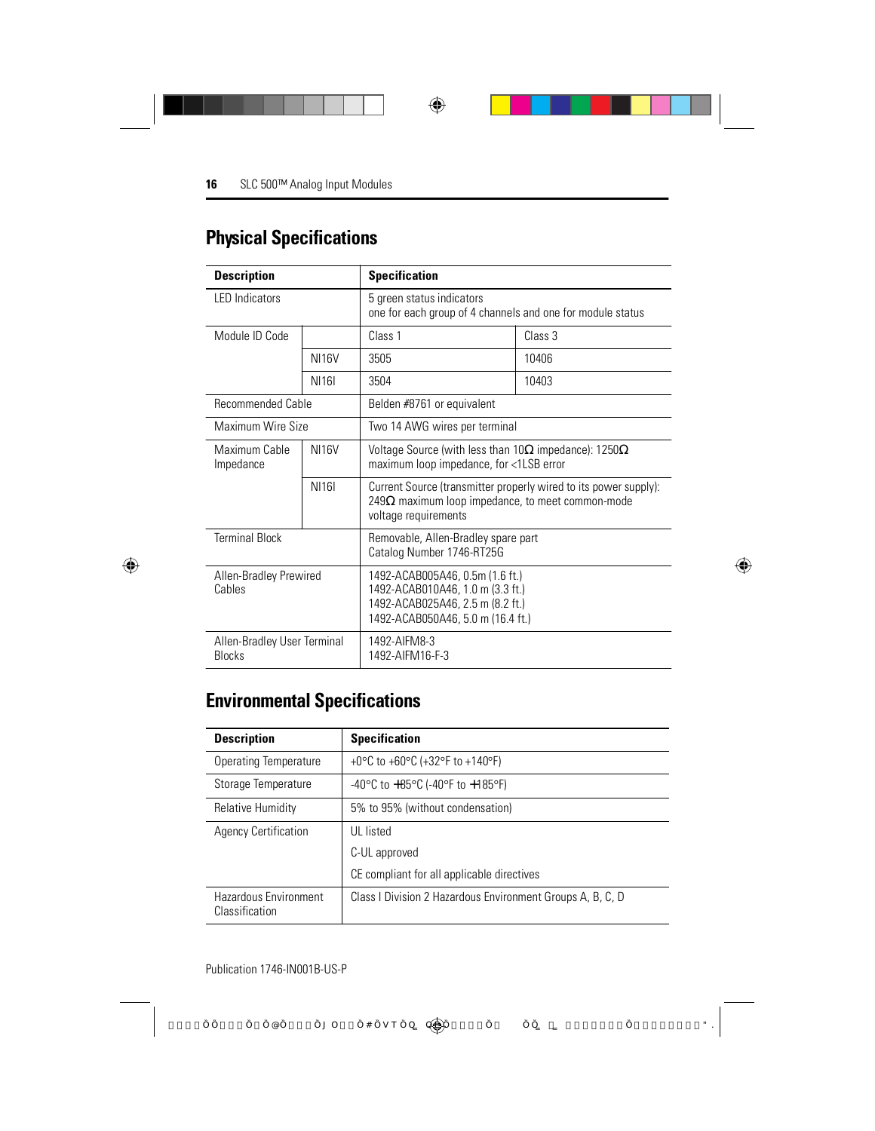| <b>Physical Specifications</b> |  |  |
|--------------------------------|--|--|
|--------------------------------|--|--|

| <b>Description</b>                                                                        | <b>Specification</b> |                                                                                                                                              |                                                                  |
|-------------------------------------------------------------------------------------------|----------------------|----------------------------------------------------------------------------------------------------------------------------------------------|------------------------------------------------------------------|
| LED Indicators                                                                            |                      | 5 green status indicators<br>one for each group of 4 channels and one for module status                                                      |                                                                  |
| Module ID Code                                                                            |                      | Class 1                                                                                                                                      | Class 3                                                          |
|                                                                                           | <b>NI16V</b>         | 3505                                                                                                                                         | 10406                                                            |
|                                                                                           | <b>NI161</b>         | 3504                                                                                                                                         | 10403                                                            |
| <b>Recommended Cable</b>                                                                  |                      | Belden #8761 or equivalent                                                                                                                   |                                                                  |
| Maximum Wire Size                                                                         |                      | Two 14 AWG wires per terminal                                                                                                                |                                                                  |
| Maximum Cable<br>Impedance                                                                | <b>NI16V</b>         | Voltage Source (with less than $10\Omega$ impedance): 1250 $\Omega$<br>maximum loop impedance, for <1LSB error                               |                                                                  |
|                                                                                           | <b>NI161</b>         | 249 $\Omega$ maximum loop impedance, to meet common-mode<br>voltage requirements                                                             | Current Source (transmitter properly wired to its power supply): |
| <b>Terminal Block</b><br>Removable, Allen-Bradley spare part<br>Catalog Number 1746-RT25G |                      |                                                                                                                                              |                                                                  |
| Allen-Bradley Prewired<br>Cables                                                          |                      | 1492-ACAB005A46, 0.5m (1.6 ft.)<br>1492-ACAB010A46, 1.0 m (3.3 ft.)<br>1492-ACAB025A46, 2.5 m (8.2 ft.)<br>1492-ACAB050A46, 5.0 m (16.4 ft.) |                                                                  |
| 1492-AIFM8-3<br>Allen-Bradley User Terminal<br>1492-AIFM16-F-3<br><b>Blocks</b>           |                      |                                                                                                                                              |                                                                  |

## **Environmental Specifications**

| <b>Description</b>                      | <b>Specification</b>                                                        |
|-----------------------------------------|-----------------------------------------------------------------------------|
| Operating Temperature                   | +0 $^{\circ}$ C to +60 $^{\circ}$ C (+32 $^{\circ}$ F to +140 $^{\circ}$ F) |
| Storage Temperature                     | -40°C to $+85$ °C (-40°F to $+185$ °F)                                      |
| <b>Relative Humidity</b>                | 5% to 95% (without condensation)                                            |
| <b>Agency Certification</b>             | <b>UL</b> listed                                                            |
|                                         | C-UL approved                                                               |
|                                         | CE compliant for all applicable directives                                  |
| Hazardous Environment<br>Classification | Class I Division 2 Hazardous Environment Groups A, B, C, D                  |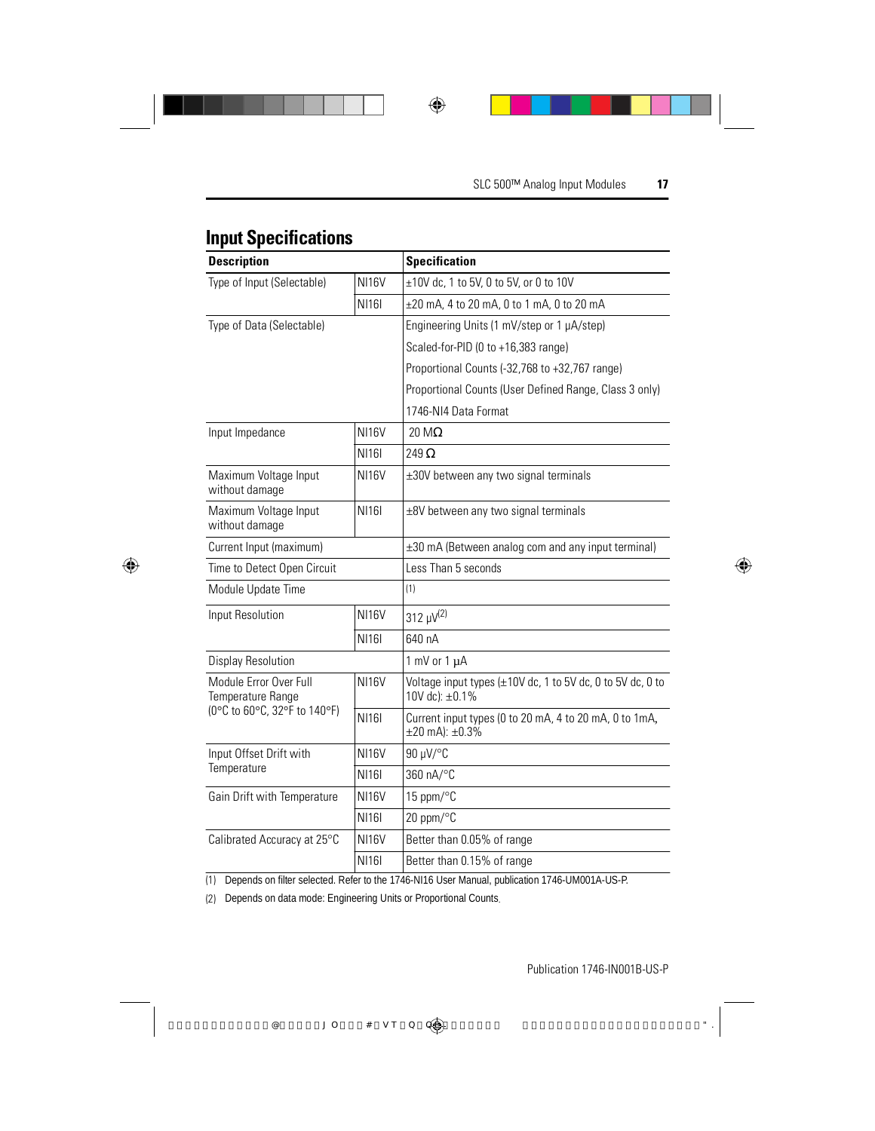| <b>Input Specifications</b> |  |
|-----------------------------|--|
|-----------------------------|--|

|                                                                             |              | <b>Specification</b>                                                                     |
|-----------------------------------------------------------------------------|--------------|------------------------------------------------------------------------------------------|
| <b>Description</b>                                                          |              |                                                                                          |
| Type of Input (Selectable)                                                  | <b>NI16V</b> | ±10V dc, 1 to 5V, 0 to 5V, or 0 to 10V                                                   |
|                                                                             | <b>NI161</b> | ±20 mA, 4 to 20 mA, 0 to 1 mA, 0 to 20 mA                                                |
| Type of Data (Selectable)                                                   |              | Engineering Units (1 mV/step or 1 µA/step)                                               |
|                                                                             |              | Scaled-for-PID (0 to +16,383 range)                                                      |
|                                                                             |              | Proportional Counts (-32,768 to +32,767 range)                                           |
|                                                                             |              | Proportional Counts (User Defined Range, Class 3 only)                                   |
|                                                                             |              | 1746-NI4 Data Format                                                                     |
| Input Impedance                                                             | <b>NI16V</b> | $20 \text{ M}\Omega$                                                                     |
|                                                                             | <b>NI161</b> | 249 $\Omega$                                                                             |
| Maximum Voltage Input<br>without damage                                     | <b>NI16V</b> | $\pm 30V$ between any two signal terminals                                               |
| Maximum Voltage Input<br>without damage                                     | <b>NI161</b> | $\pm$ 8V between any two signal terminals                                                |
| Current Input (maximum)                                                     |              | ±30 mA (Between analog com and any input terminal)                                       |
| Time to Detect Open Circuit                                                 |              | Less Than 5 seconds                                                                      |
| Module Update Time                                                          |              | (1)                                                                                      |
| Input Resolution                                                            | <b>NI16V</b> | 312 µV <sup>(2)</sup>                                                                    |
|                                                                             | <b>NI161</b> | 640 nA                                                                                   |
| <b>Display Resolution</b>                                                   |              | 1 mV or $1 \mu A$                                                                        |
| Module Error Over Full<br>Temperature Range<br>(0°C to 60°C, 32°F to 140°F) | <b>NI16V</b> | Voltage input types $(\pm 10V)$ dc, 1 to 5V dc, 0 to 5V dc, 0 to<br>10V dc): $\pm 0.1\%$ |
|                                                                             | <b>NI161</b> | Current input types (0 to 20 mA, 4 to 20 mA, 0 to 1mA,<br>$\pm 20$ mA): $\pm 0.3\%$      |
| Input Offset Drift with<br>Temperature                                      | <b>NI16V</b> | 90 µV/°C                                                                                 |
|                                                                             | <b>NI161</b> | 360 nA/°C                                                                                |
| Gain Drift with Temperature                                                 | <b>NI16V</b> | 15 ppm/°C                                                                                |
|                                                                             | <b>NI161</b> | 20 ppm/°C                                                                                |
| Calibrated Accuracy at 25°C                                                 | <b>NI16V</b> | Better than 0.05% of range                                                               |
|                                                                             | <b>NI161</b> | Better than 0.15% of range                                                               |
|                                                                             |              |                                                                                          |

(1) Depends on filter selected. Refer to the 1746-NI16 User Manual, publication 1746-UM001A-US-P.

(2) Depends on data mode: Engineering Units or Proportional Counts.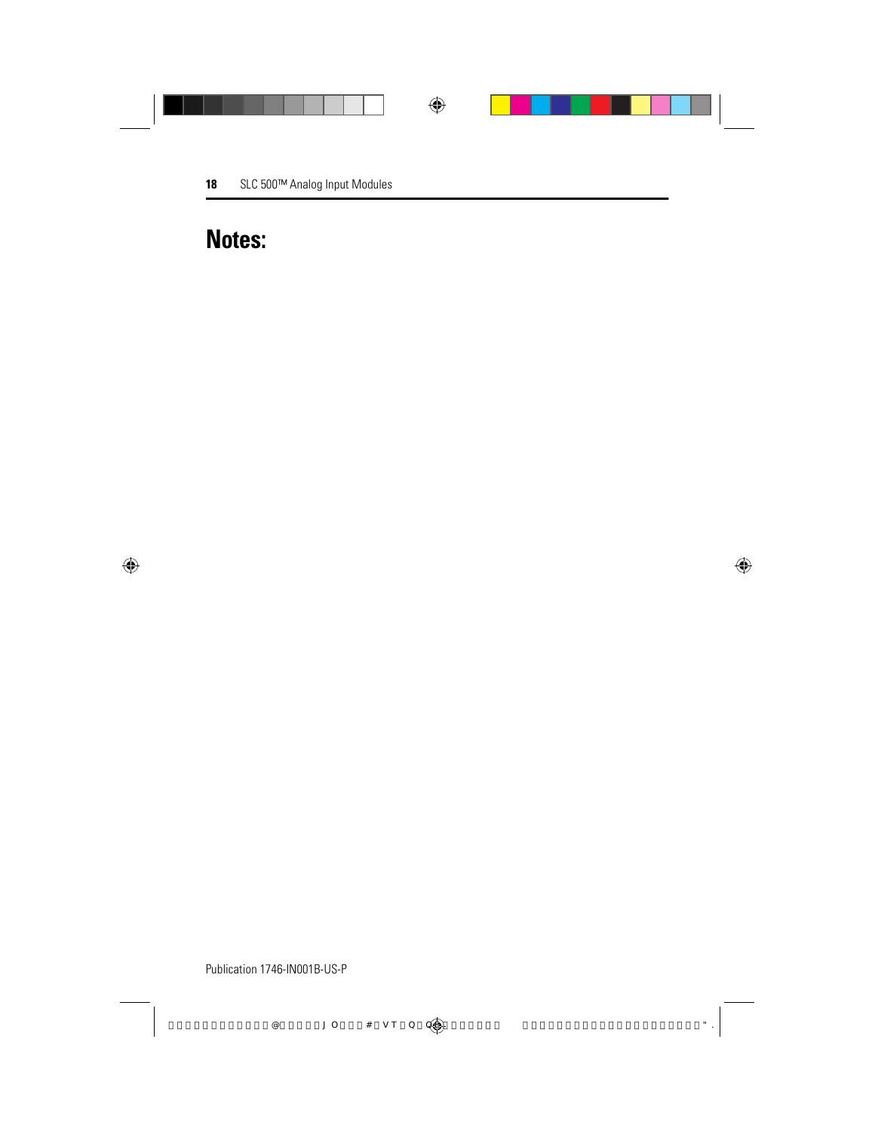## **Notes:**